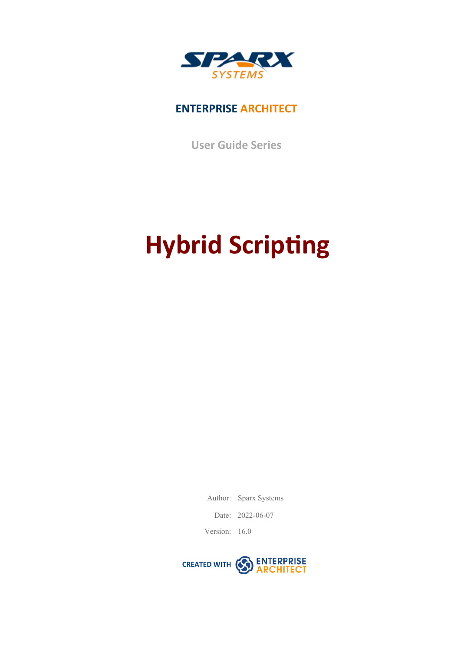

### **ENTERPRISE ARCHITECT**

**User Guide Series**

# **Hybrid Scripting**

Author: Sparx Systems

Date: 2022-06-07

Version: 16.0

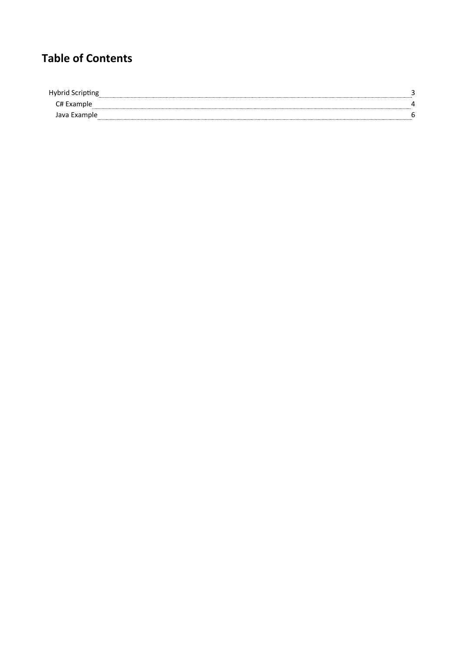## **Table of Contents**

| Hybrid<br><b>ີບປະເທດ</b> |  |
|--------------------------|--|
|                          |  |
| <b>Lxamble</b>           |  |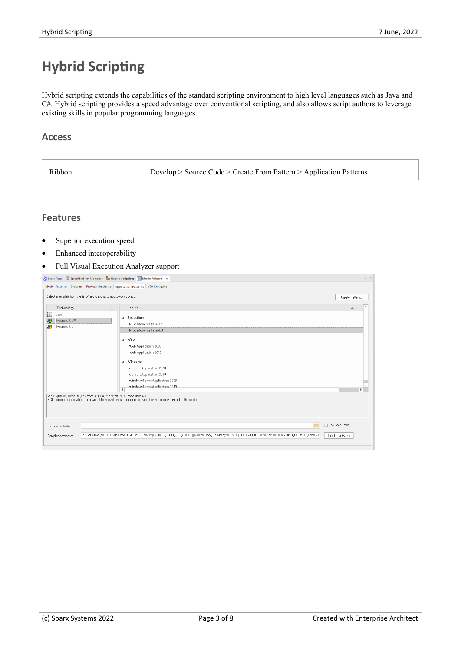## **Hybrid Scripting**

Hybrid scripting extends the capabilities of the standard scripting environment to high level languages such as Java and C#. Hybrid scripting provides a speed advantage overconventional scripting, and also allows script authors to leverage existing skills in popular programming languages.

#### **Access**

| Develop > Source Code > Create From Pattern > Application Patterns<br>Ribbon |  |  |
|------------------------------------------------------------------------------|--|--|
|------------------------------------------------------------------------------|--|--|

#### **Features**

- Superior execution speed
- · Enhanced interoperability
- · Full Visual Execution Analyzer support

|                                                      | Start Page Specification Manager E Hybrid Scripting Model Wizard X          |                                                                                                                                                                             | 4P               |
|------------------------------------------------------|-----------------------------------------------------------------------------|-----------------------------------------------------------------------------------------------------------------------------------------------------------------------------|------------------|
|                                                      | Model Patterns Diagram Process Guidance Application Patterns   VEA Examples |                                                                                                                                                                             |                  |
|                                                      | Select a template from the list of applications, to add to your project.    |                                                                                                                                                                             | Create Pattern   |
| Technology                                           |                                                                             | Name                                                                                                                                                                        |                  |
| ▲<br>Java<br>æ<br>Microsoft C#<br>B<br>Microsoft C++ |                                                                             | $\blacktriangle$ : Repository<br>RepositoryInterface 3.5<br>RepositoryInterface 4.0                                                                                         |                  |
|                                                      |                                                                             | A:Web<br>Web Application 2008<br>Web Application 2010                                                                                                                       |                  |
|                                                      |                                                                             | $\boldsymbol{A}$ : Windows                                                                                                                                                  |                  |
|                                                      |                                                                             | ConsoleApplication 2008                                                                                                                                                     |                  |
|                                                      |                                                                             | ConsoleApplication 2010                                                                                                                                                     |                  |
|                                                      |                                                                             | WindowsFormsApplication 2008<br>WindowsFormsAnnlication.2010                                                                                                                | ▼                |
|                                                      | $\left  \cdot \right $                                                      |                                                                                                                                                                             | $\mathbf{r}$     |
|                                                      | Sparx Systems, RepositoryInterface 4.0, C#, Microsoft .NET Framework 4.0    | A C# project demonstrating the powerfull high level language support provided by Enterprise Architect to the model.                                                         |                  |
| Destination folder:                                  |                                                                             | $\overline{a}$                                                                                                                                                              | □ Use Local Path |
| Compiler command:                                    |                                                                             | "C:\\Windows\Microsoft.NET\Framework\v4.0.30319\csc.exe" /debug /target:exe /platform:x86 /r:SparxSystems.Repository.dll /r:Interop.EA.dll /lib:"C:\Program Files (x86)\Spa | Edit Local Paths |
|                                                      |                                                                             |                                                                                                                                                                             |                  |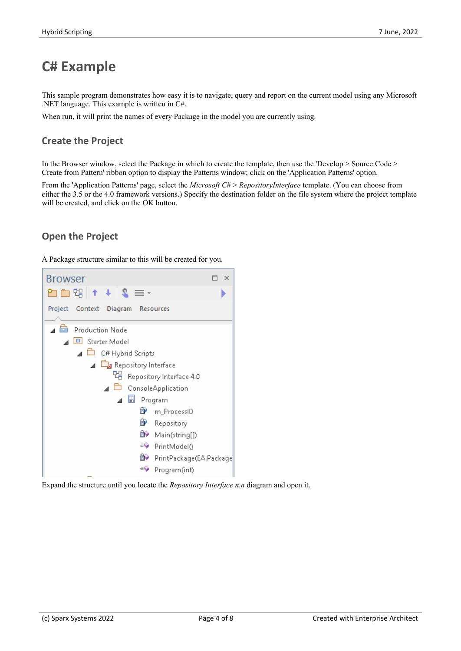## **C# Example**

This sample program demonstrates how easy it is to navigate, query and report on the current model using any Microsoft .NET language. This example is written in C#.

When run, it will print the names of every Package in the model you are currently using.

#### **Create the Project**

In the Browser window, select the Package in which to create the template, then use the 'Develop > Source Code > Create from Pattern' ribbon option to display the Patterns window; click on the 'Application Patterns' option.

From the 'Application Patterns' page, select the *Microsoft*  $C#$  > *RepositoryInterface* template. (You can choose from either the 3.5 or the 4.0 framework versions.) Specify the destination folder on the file system where the project template will be created, and click on the OK button.

#### **Open the Project**

A Package structure similar to this will be created for you.



Expand the structure until you locate the *Repository Interface n.n* diagram and open it.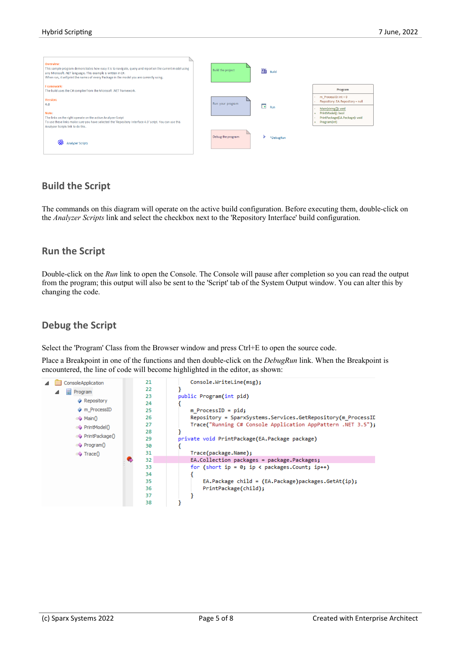

#### **Build the Script**

The commands on this diagram will operate on the active build configuration. Before executing them, double-click on the *Analyzer Scripts* link and select the checkbox next to the 'Repository Interface' build configuration.

#### **Run the Script**

Double-click on the *Run* link to open the Console. The Console will pause after completion so you can read the output from the program; this output will also be sent to the 'Script' tab of the System Output window. You can alter this by changing the code.

#### **Debug the Script**

Select the 'Program' Class from the Browser window and press Ctrl+E to open the source code.

Place a Breakpoint in one of the functions and then double-click on the *DebugRun* link. When the Breakpoint is encountered, the line of code will become highlighted in the editor, as shown:

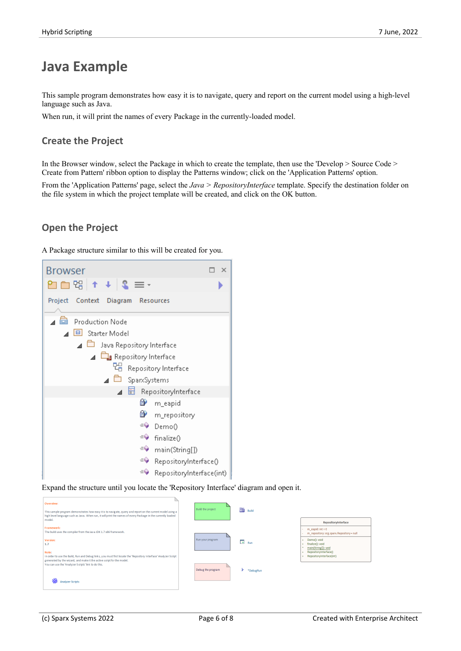## **Java Example**

This sample program demonstrates how easy it is to navigate, query and report on the current model using a high-level language such as Java.

When run, it will print the names of every Package in the currently-loaded model.

#### **Create the Project**

In the Browser window, select the Package in which to create the template, then use the 'Develop > Source Code > Create from Pattern' ribbon option to display the Patterns window; click on the 'Application Patterns' option.

From the 'Application Patterns' page, select the *Java > RepositoryInterface* template. Specify the destination folder on the file system in which the project template will be created, and click on the OK button.

#### **Open the Project**

A Package structure similar to this will be created for you.



Expand the structure until you locate the 'Repository Interface' diagram and open it.

| Overview:<br>This sample program demonstrates how easy it is to navigate, query and report on the current model using a<br>high level language such as Java. When run, it will print the names of every Package in the currently loaded<br>model.                           | <b>Build</b><br>Build the project                |                                                                                                                                                                                                    |
|-----------------------------------------------------------------------------------------------------------------------------------------------------------------------------------------------------------------------------------------------------------------------------|--------------------------------------------------|----------------------------------------------------------------------------------------------------------------------------------------------------------------------------------------------------|
| Framework:<br>The build uses the compiler from the Java JDK 1.7 x86 framework.<br>Version:<br>1.7<br>Note:                                                                                                                                                                  | Run your program<br>$\overline{\rightarrow}$ Run | RepositoryInterface<br>$m$ eapid: $int = 0$<br>m_repository: org.sparx.Repository = null<br>Demo(): void<br>÷<br>finalize(): void<br>main(String[]): void<br>$\sim$<br>RepositoryInterface()<br>÷. |
| In order to use the Build, Run and Debug links, you must first locate the 'Repository Interface' Analyzer Script<br>generated by the wizard, and make it the active script for the model.<br>You can use the 'Analyzer Scripts' link to do this.<br><b>Analyzer Scripts</b> | Debug the program<br>*DebugRun                   | RepositoryInterface(int)<br>$+$                                                                                                                                                                    |